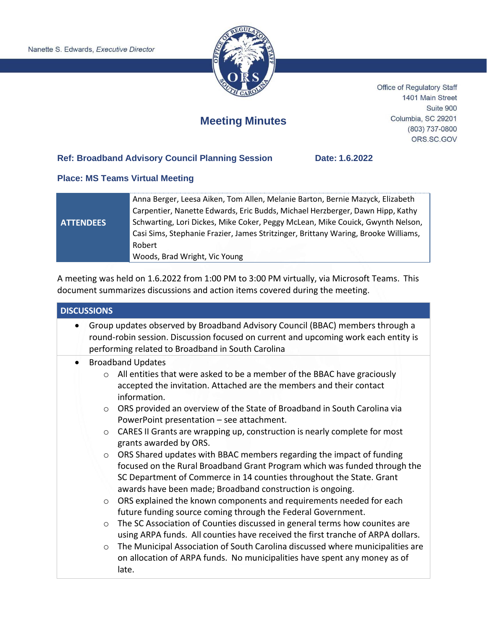

Office of Regulatory Staff 1401 Main Street Suite 900 Columbia, SC 29201 (803) 737-0800 ORS.SC.GOV

## **Meeting Minutes**

## **Ref: Broadband Advisory Council Planning Session Date: 1.6.2022**

## **Place: MS Teams Virtual Meeting**

|                  | Anna Berger, Leesa Aiken, Tom Allen, Melanie Barton, Bernie Mazyck, Elizabeth      |
|------------------|------------------------------------------------------------------------------------|
|                  | Carpentier, Nanette Edwards, Eric Budds, Michael Herzberger, Dawn Hipp, Kathy      |
| <b>ATTENDEES</b> | Schwarting, Lori Dickes, Mike Coker, Peggy McLean, Mike Couick, Gwynth Nelson,     |
|                  | Casi Sims, Stephanie Frazier, James Stritzinger, Brittany Waring, Brooke Williams, |
|                  | Robert                                                                             |
|                  | Woods, Brad Wright, Vic Young                                                      |

A meeting was held on 1.6.2022 from 1:00 PM to 3:00 PM virtually, via Microsoft Teams. This document summarizes discussions and action items covered during the meeting.

| <b>DISCUSSIONS</b>                                                                                                                                                                                                        |  |
|---------------------------------------------------------------------------------------------------------------------------------------------------------------------------------------------------------------------------|--|
| Group updates observed by Broadband Advisory Council (BBAC) members through a<br>round-robin session. Discussion focused on current and upcoming work each entity is<br>performing related to Broadband in South Carolina |  |
| <b>Broadband Updates</b><br>$\bullet$                                                                                                                                                                                     |  |
| All entities that were asked to be a member of the BBAC have graciously<br>$\Omega$                                                                                                                                       |  |
| accepted the invitation. Attached are the members and their contact                                                                                                                                                       |  |
| information.                                                                                                                                                                                                              |  |
| ORS provided an overview of the State of Broadband in South Carolina via<br>$\circ$                                                                                                                                       |  |
| PowerPoint presentation - see attachment.                                                                                                                                                                                 |  |
| CARES II Grants are wrapping up, construction is nearly complete for most<br>$\circ$                                                                                                                                      |  |
| grants awarded by ORS.                                                                                                                                                                                                    |  |
| ORS Shared updates with BBAC members regarding the impact of funding<br>$\circ$                                                                                                                                           |  |
| focused on the Rural Broadband Grant Program which was funded through the                                                                                                                                                 |  |
| SC Department of Commerce in 14 counties throughout the State. Grant                                                                                                                                                      |  |
| awards have been made; Broadband construction is ongoing.                                                                                                                                                                 |  |
| ORS explained the known components and requirements needed for each<br>$\circ$                                                                                                                                            |  |
| future funding source coming through the Federal Government.                                                                                                                                                              |  |
| The SC Association of Counties discussed in general terms how counites are<br>$\circ$                                                                                                                                     |  |
| using ARPA funds. All counties have received the first tranche of ARPA dollars.                                                                                                                                           |  |
| The Municipal Association of South Carolina discussed where municipalities are<br>$\circ$                                                                                                                                 |  |
| on allocation of ARPA funds. No municipalities have spent any money as of                                                                                                                                                 |  |
| late.                                                                                                                                                                                                                     |  |